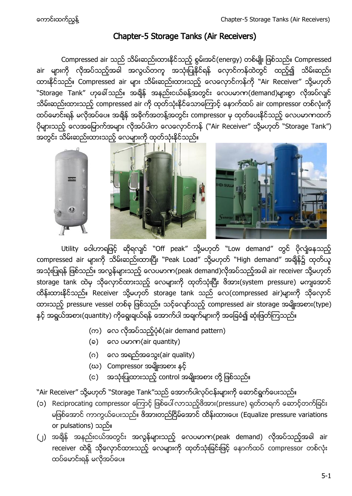# Chapter-5 Storage Tanks (Air Receivers)

Compressed air သည် သိမ်းဆည်းထားနိုင်သည့် စွမ်းအင်(energy) တစ်မျိုး ဖြစ်သည်။ Compressed air များကို လိုအပ်သည့်အခါ အလွယ်တကူ အသုံးပြုနိုင်ရန် လှောင်ကန်ထဲတွင် ထည့်၍ သိမ်းဆည်း ထားနိုင်သည်။ Compressed air များ သိမ်းဆည်းထားသည့် လေလှောင်ကန်ကို "Air Receiver" သို့မဟုတ် "Storage Tank" ဟုခေါ်သည်။ အချိန် အနည်းငယ်ခန့်အတွင်း လေပမာက(demand)များစွာ လိုအပ်လျင် သိမ်းဆည်းထားသည့် compressed air ကို ထုတ်သုံးနိုင်သောကြောင့် နောက်ထပ် air compressor တစ်လုံးကို ထပ်မောင်းရန် မလိုအပ်ပေ။ အချိန် အခိုက်အတန့်အတွင်း compressor မှ ထုတ်ပေးနိုင်သည့် လေပမာကာထက် ပိုများသည့် လေအမြောက်အများ လိုအပ်ပါက လေလှောင်ကန် ("Air Receiver" သို့မဟုတ် "Storage Tank") ာ<br>အတွင်း သိမ်းဆည်းထားသည့် လေများကို ထုတ်သုံးနိုင်သည်။



Utility ဝေါဟာရဖြင့် ဆိုရလျှင် "Off peak" သို့မဟုတ် "Low demand" တွင် ပိုလျံ့နေသည့် compressed air များကို သိမ်းဆည်းထားပြီး "Peak Load" သို့မဟုတ် "High demand" အချိန်၌ ထုတ်ယူ အသုံးပြုရန် ဖြစ်သည်။ အလွန်များသည့် လေပမာက(peak demand)လိုအပ်သည့်အခါ air receiver သို့မဟုတ် storage tank ထဲမှ သိုလှောင်ထားသည့် လေများကို ထုတ်သုံးပြီး ဖိအား(system pressure) မကျအောင် ထိန်းထားနိုင်သည်။ Receiver သို့မဟုတ် storage tank သည် လေ(compressed air)များကို သိုလှောင် ထားသည့် pressure vessel တစ်ခု ဖြစ်သည်။ သင့်လျော်သည့် compressed air storage အမျိုးအစား(type) နှင့် အရွယ်အစား(quantity) ကိုရွေးချယ်ရန် အောက်ပါ အချက်များကို အခြေခံ၍ ဆုံးဖြတ်ကြသည်။

- (က) လေ လိုအပ်သည့်ပုံစံ(air demand pattern)
- (၁) လေ ပမာဏ (air quantity)
- (ဂ)  $\cos \frac{\pi x}{2}$ အရည်အသွေး(air quality)
- (ဃ) Compressor အမျိုးအစား နင့်
- (င) အသုံးပြုထားသည့် control အမျိုးအစား တို့ ဖြစ်သည်။

"Air Receiver" သို့မဟုတ် "Storage Tank"သည် အောက်ပါလုပ်ငန်းများကို ဆောင်ရွက်ပေးသည်။

- (၁) Reciprocating compressor ကြောင့် ဖြစ်ပေါ်လာသည့်ဗိအား(pressure) ရုတ်တရက် ဆောင့်တက်ခြင်း မဖြစ်အောင် ကာကွယ်ပေးသည်။ ဇိအားတည်ငြိမ်အောင် ထိန်းထားပေး (Equalize pressure variations or pulsations) သည်။
- (၂) အရှိန် အနည်းငယ်အတွင်း အလွန်များသည့် လေပမာဏ(peak demand) လိုအပ်သည့်အခါ air receiver ထဲရှိ သိုလှောင်ထားသည့် လေများကို ထုတ်သုံးခြင်းဖြင့် နောက်ထပ် compressor တစ်လုံး ထပ်မောင်းရန် မလိုအပ်ပေ။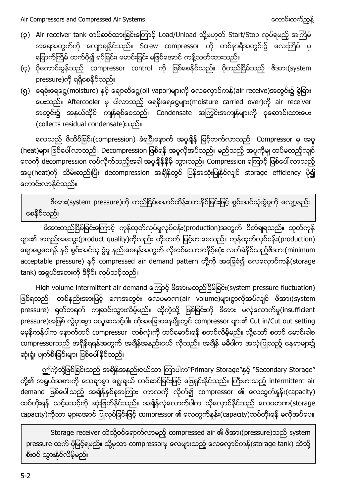- (၃) Air receiver tank တပ်ဆင်ထားခြင်းကြောင့် Load/Unload သို့မဟုတ် Start/Stop လုပ်ရမည့် အကြိမ် အရေအတွက်ကို လျော့ချနိုင်သည်။ Screw compressor ကို တစ်နာရီအတွင်း၌ လေးကြိမ် မှ ခြောက်ကြိမ် ထက်ပို၍ ရပ်ခြင်း၊ မောင်းခြင်း မဖြစ်အောင် ကန့်သတ်ထားသည်။
- (၄) ပိုကောင်းမွန်သည့် compressor control ကို ဖြစ်စေနိုင်သည်။ ပိုတည်ငြိမ်သည့် ဖိအား(system pressure)ကို ရရှိစေနိုင်သည်။
- (၅) ရေခိုးရေငွေ(moisture) နင့် ချောဆီငွေ(oil vapor)များကို လေလှောင်ကန်(air receive)အတွင်း၌ ခွဲခြား ပေးသည်။ Aftercooler မှ ပါလာသည့် ရေခိုးရေငွေ့များ(moisture carried over)ကို air receiver အတွင်း၌ အနယ်ထိုင် ကျန်ရစ်စေသည်။ Condensate အကြွင်းအကျန်များကို စုဆောင်းထားပေး (collects residual condensate)

လေသည် ဗိသိပ်ခြင်း(compression) ခံရပြီးနောက် အပူချိန် မြင့်တက်လာသည်။ Compressor မှ အပူ (heat)များ ဖြစ်ပေါ် လာသည်။ Decompression ဖြစ်ရန် အပူလိုအပ်သည်။ မည်သည့် အပူကိုမျ ထပ်မထည့်လျင် လေကို decompression လုပ်လိုက်သည့်အခါ အပူရိုန်နှိမ့် သွားသည်။ Compression ကြောင့် ဖြစ်ပေါ် လာသည့် အပူ(heat)ကို သိမ်းဆည်းပြီး decompression အချိန်တွင် ပြန်အသုံးပြုနိုင်လျင် storage efficiency ပို၍ ကောင်းလာနိုင်သည်။

ဗိအား(system pressure)ကို တည်ငြိမ်အောင်ထိန်းထားနိုင်ခြင်းဖြင့် စွမ်းအင်သုံးစွဲမှုကို လျော့နည်း စေနိုင်သည်။

ဗိအားတည်ငြိမ်ခြင်းကြောင့် ကုန်ထုတ်လုပ်မှုလုပ်ငန်း(production)အတွက် စိတ်ချရသည်။ ထုတ်ကုန် များ၏ အရည်အသွေး(product quality)ကိုလည်း တိုးတက် မြင့်မားစေသည်။ ကုန်ထုတ်လုပ်ငန်း(production) ချောမွေ့စေရန် နှင့် စွမ်းအင်သုံးစွဲမှု နည်းစေရန်အတွက် လိုအပ်သောအနိမ့်ဆုံး လက်ခံနိုင်သည့်ဖိအား(minimum acceptable pressure) နင့် compressed air demand pattern တို့ကို အခြေခံ၍ လေလှောင်ကန်(storage tank) အရွယ်အစားကို ဒီဇိုင်း လုပ်သင့်သည်။

High volume intermittent air demand ကြောင့် ဖိအားမတည်ငြိမ်ခြင်း(system pressure fluctuation) ဖြစ်ရသည်။ တစ်နည်းအားဖြင့် ခဏအတွင်း လေပမာဏ(air volume)များစွာလိုအပ်လျင် ဖိအား(system — — — — — — —<br>pressure) ရုတ်တရက် ကျဆင်းသွားလိမ့်မည်။ ထိုကဲ့သို့ ဖြစ်ခြင်းကို ဖိအား မလုံလောက်မှု(insufficient pressure)အဖြစ် လွဲမှားစွာ မယူဆသင့်ပါ။ ထိုအခြေအနေမျိုးတွင် compressor များ၏ Cut in/Cut out setting မမှန်ကန်ပါက နောက်ထပ် compressor တစ်လုံးကို ထပ်မောင်းရန် စတင်လိမ့်မည်။ သို့သော် စတင် မောင်းခါစ compressorသည် အရှိန်ရရန်အတွက် အချိန်အနည်းငယ် လိုသည်။ အချိန် မမီပါက အသုံးပြုသည့် နေရာများ၌ ဆုံးရှုံး ပျက်စီးခြင်းများ ဖြစ်ပေါ်နိုင်သည်။

ဤကဲ့သို့ဖြစ်ခြင်းသည် အချိန်အနည်းငယ်သာ ကြာပါက"Primary Storage"နှင့် "Secondary Storage" တို့၏ အရွယ်အစားကို သေချာစွာ ရွေးချယ် တပ်ဆင်ခြင်းဖြင့် ဖြေရှင်းနိုင်သည်။ ကြီးမားသည့် intermittent air demand ဖြစ်ပေါ်သည့် အချိန်နှစ်ခုအကြား ကာလကို လိုက်၍ compressor ၏ လေထွက်နှန်း(capacity) ထပ်တိုးရန် သင့်မသင့်ကို ဆုံးဖြတ်နိုင်သည်။ အချိန်လုံလောက်ပါက သိုလှောင်နိုင်သည့် လေပမာက(storage capacity)ကိုသာ များအောင် ပြုလုပ်ခြင်းဖြင့် compressor ၏ လေထွက်နှန်း(capacity)ထပ်တိုးရန် မလိုအပ်ပေ။

Storage receiver ထဲသို့ဝင်ရောက်လာမည့် compressed air ၏ ဖိအား(pressure)သည် system pressure ထက် ပိုမြင့်ရမည်။ သို့မှသာ compressorမှ လေများသည့် လေလှောင်ကန်(storage tank) ထဲသို့ စီးဝင် သွားနိုင်လိမ့်မည်။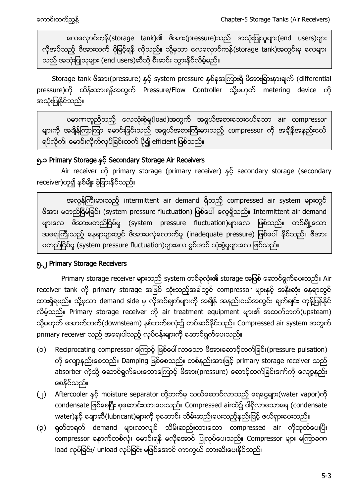လေလှောင်ကန်(storage tank)၏ ဖိအား(pressure)သည် အသုံးပြုသူများ(end users)များ လိုအပ်သည့် ဖိအားထက် ပိုမြင့်ရန် လိုသည်။ သို့မှသာ လေလှောင်ကန်(storage tank)အတွင်းမှ လေများ သည် အသုံးပြုသူများ (end users)ဆီသို့ စီးဆင်း သွားနိုင်လိမ့်မည်။

Storage tank ဖိအား(pressure) နှင့် system pressure နှစ်ခုအကြားရှိ ဖိအားခြားနားချက် (differential pressure)ကို ထိန်းထားရန်အတွက် Pressure/Flow Controller သို့မဟုတ် metering device ကို အသုံးပြုနိုင်သည်။

ပမာဏတူညီသည့် လေသုံးစွဲမှု(load)အတွက် အရွယ်အစားသေးငယ်သော air compressor များကို အရိန်ကြာကြာ မောင်းခြင်းသည် အရွယ်အစားကြီးမားသည့် compressor ကို အရိန်အနည်းငယ် ရပ်လိုက်၊ မောင်းလိုက်လုပ်ခြင်းထက် ပို၍ efficient ဖြစ်သည်။

# ၅.၁ Primary Storage နှင့် Secondary Storage Air Receivers

Air receiver ကို primary storage (primary receiver) နှင့် secondary storage (secondary receiver)ဟူ၍ နစ်မျိုး စွဲခြားနိုင်သည်။

အလွန်ကြီးမားသည့် intermittent air demand ရှိသည့် compressed air system များတွင် ဗိအား မတည်ငြိမ်ခြင်း (system pressure fluctuation) ဖြစ်ပေါ် လေ့ရှိသည်။ Intermittent air demand များလေ ဖိအားမတည်ငြိမ်မှု (system pressure fluctuation)များလေ ဖြစ်သည်။ တစ်ချို့သော အရေးကြီးသည့် နေရာများတွင် ဖိအားမလုံလောက်မှု (inadequate pressure) ဖြစ်ပေါ် နိုင်သည်။ ဖိအား မတည်ငြိမ်မှု (system pressure fluctuation)များလေ စွမ်းအင် သုံးစွဲမှုများလေ ဖြစ်သည်။

#### ၅.၂ Primary Storage Receivers

Primary storage receiver များသည် system တစ်ခုလုံး၏ storage အဖြစ် ဆောင်ရွက်ပေးသည်။ Air receiver tank ကို primary storage အဖြစ် သုံးသည့်အခါတွင် compressor များနှင့် အနီးဆုံး နေရာတွင် ထားရှိရမည်။ သို့မှသာ demand side မှ လိုအပ်ချက်များကို အချိန် အနည်းငယ်အတွင်း ချက်ချင်း တုန့်ပြန်နိုင် လိမ့်သည်။ Primary storage receiver ကို air treatment equipment များ၏ အထက်ဘက်(upsteam) သို့မဟုတ် အောက်ဘက်(downsteam) နစ်ဘက်စလုံး၌ တပ်ဆင်နိုင်သည်။ Compressed air system အတွက် primary receiver သည် အရေးပါသည့် လုပ်ငန်းများကို ဆောင်ရွက်ပေးသည်။

- (၁) Reciprocating compressor ကြောင့် ဖြစ်ပေါ် လာသော ဖိအားဆောင့်တက်ခြင်း(pressure pulsation) ကို လျော့နည်းစေသည်။ Damping ဖြစ်စေသည်။ တစ်နည်းအားဖြင့် primary storage receiver သည် absorber ကဲ့သို့ ဆောင်ရွက်ပေးသောကြောင့် ဖိအား(pressure) ဆောင့်တက်ခြင်းဒဏ်ကို လျော့နည်း စေနိုင်သည်။
- (၂) Aftercooler နှင့် moisture separator တို့ဘက်မှ သယ်ဆောင်လာသည့် ရေငွေများ(water vapor)ကို condensate ဖြစ်စေပြီး စုဆောင်းထားပေးသည်။ Compressed airထဲ၌ ပါရှိလာသောရေ (condensate water)နှင့် ချောဆီ(lubricant)များကို စုဆောင်း သိမ်းဆည်းပေးသည့်နည်းဖြင့် ဖယ်ရှားပေးသည်။
- (၃) ရုတ်တရက် demand များလာလျင် သိမ်းဆည်းထားသော compressed air ကိုထုတ်ပေးပြီး compressor နောက်တစ်လုံး မောင်းရန် မလိုအောင် ပြုလုပ်ပေးသည်။ Compressor များ မကြာခက load လုပ်ခြင်း/ unload လုပ်ခြင်း မဖြစ်အောင် ကာကွယ် တားဆီးပေးနိုင်သည်။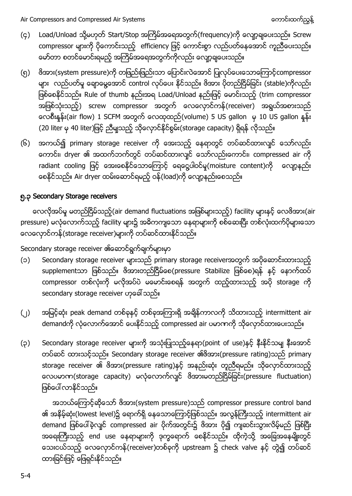- (၄) Load/Unload သို့မဟုတ် Start/Stop အကြိမ်အရေအတွက်(frequency)ကို လျော့ချပေးသည်။ Screw compressor များကို ပိုကောင်းသည့် efficiency ဖြင့် ကောင်းစွာ လည်ပတ်နေအောင် ကူညီပေးသည်။ မော်တာ စတင်မောင်းရမည့် အကြိမ်အရေအတွက်ကိုလည်း လျော့ချပေးသည်။
- (၅) ဗိအား(system pressure)ကို တဖြည်းဖြည်းသာ ပြောင်းလဲအောင် ပြုလုပ်ပေးသောကြောင့်compressor များ လည်ပတ်မှု ချောမွှေအောင် control လုပ်ပေး နိုင်သည်။ ဇိအား ပိုတည်ငြိမ်ခြင်း (stable)ကိုလည်း ဖြစ်စေနိုင်သည်။ Rule of thumb နည်းအရ Load/Unload နည်းဖြင့် မောင်းသည့် (trim compressor အဖြစ်သုံးသည့်) screw compressor အတွက် လေလှောင်ကန်(receiver) အရွယ်အစားသည် လေစီးနှန်း(air flow) 1 SCFM အတွက် လေထုထည်(volume) 5 US gallon မှ 10 US gallon နန်း (20 liter မှ 40 liter) ဖြင့် ညီမျသည့် သိုလှောင်နိုင်စွမ်း(storage capacity) ရှိရန် လိုသည်။
- (၆) အကယ်၍ primary storage receiver ကို အေးသည့် နေရာတွင် တပ်ဆင်ထားလျင် သော်လည်း ကောင်း၊ dryer ၏ အထက်ဘက်တွင် တပ်ဆင်ထားလျင် သော်လည်းကောင်း၊ compressed air ကို radiant cooling ဖြင့် အေးစေနိုင်သောကြောင့် ရေငွေပါဝင်မှု(moisture content)ကို လျော့နည်း စေနိုင်သည်။ Air dryer ထမ်းဆောင်ရမည့် ဝန်(load)ကို လျော့နည်းစေသည်။

# ၅.၃ Secondary Storage receivers

လေလိုအပ်မှု မတည်ငြိမ်သည့်(air demand fluctuations အဖြစ်များသည့်) facility များနှင့် လေဗိအား(air pressure) မလုံလောက်သည့် facility များ၌ အဓိကကျသော နေရာများကို စစ်ဆေးပြီး တစ်လုံးထက်ပိုများသော လေလှောင်ကန်(storage receiver)များကို တပ်ဆင်ထားနိုင်သည်။

Secondary storage receiver ၏ဆောင်ရွက်ချက်များမှာ

- (၁) Secondary storage receiver များသည် primary storage receiverအတွက် အပိုဆောင်းထားသည့် supplementသာ ဖြစ်သည်။ ဗိအားတည်ငြိမ်စေ(pressure Stabilize ဖြစ်စေ)ရန် နှင့် နောက်ထပ် compressor တစ်လုံးကို မလိုအပ်ပဲ မမောင်းစေရန် အတွက် ထည့်ထားသည့် အပို storage ကို secondary storage receiver ဟုခေါ် သည်။
- (၂) အမြင့်ဆုံး peak demand တစ်ခုနှင့် တစ်ခုအကြားရှိ အချိန်ကာလကို သိထားသည့် intermittent air demandကို လုံလောက်အောင် ပေးနိုင်သည့် compressed air ပမာဏကို သိုလှောင်ထားပေးသည်။
- (၃) Secondary storage receiver များကို အသုံးပြုသည့်နေရာ(point of use)နှင့် နီးနိုင်သမျ နီးအောင် တပ်ဆင် ထားသင့်သည်။ Secondary storage receiver ၏ဖိအား(pressure rating)သည် primary storage receiver ၏ ဖိအား(pressure rating)နှင့် အနည်းဆုံး တူညီရမည်။ သိုလှောင်ထားသည့် လေပမာဏ(storage capacity) မလုံလောက်လျင် ဖိအားမတည်ငြိမ်ခြင်း(pressure fluctuation) ဖြစ်ပေါ် လာနိုင်သည်။

အဘယ်ကြောင့်ဆိုသော် ဖိအား(system pressure)သည် compressor pressure control band ၏ အနိမ့်ဆုံး(lowest level)၌ ရောက်ရှိ နေသောကြောင့်ဖြစ်သည်။ အလွန်ကြီးသည့် intermittent air demand ဖြစ်ပေါ်ခဲ့လျင် compressed air ပိုက်အတွင်း၌ ဇိအား ပို၍ ကျဆင်းသွားလိမ့်မည် ဖြစ်ပြီး အရေးကြီးသည့် end use နေရာများကို ဒုက္ခရောက် စေနိုင်သည်။ ထိုကဲ့သို့ အခြေအနေမျိုးတွင် သေးငယ်သည့် လေလှောင်ကန်(receiver)တစ်ခုကို upstream ၌ check valve နှင့် တွဲ၍ တပ်ဆင် ထားခြင်းဖြင့် ဖြေရှင်းနိုင်သည်။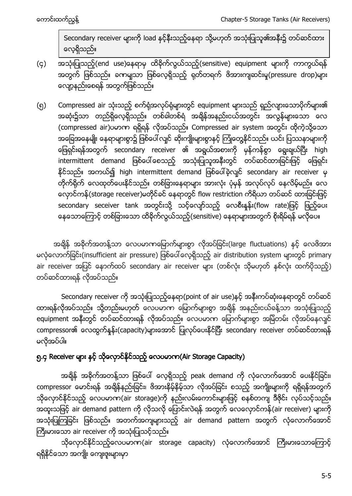Secondary receiver များကို load နှင့်နီးသည့်နေရာ သို့မဟုတ် အသုံးပြုသူ၏အနီး၌ တပ်ဆင်ထား လေ့ရှိသည်။

- (၄) အသုံးပြုသည့်(end use)နေရာမှ ထိခိုက်လွယ်သည့်(sensitive) equipment များကို ကာကွယ်ရန် အတွက် ဖြစ်သည်။ ခကမျှသာ ဖြစ်လေ့ရှိသည့် ရုတ်တရက် ဖိအားကျဆင်းမှု(pressure drop)များ လျော့နည်းစေရန် အတွက်ဖြစ်သည်။
- (၅) Compressed air သုံးသည့် စက်ရုံအလုပ်ရုံများတွင် equipment များသည် ရှည်လျားသောပိုက်များ၏ အဆုံး၌သာ တည်ရှိလေ့ရှိသည်။ တစ်ခါတစ်ရံ အချိန်အနည်းငယ်အတွင်း အလွန်များသော လေ (compressed air) ပမာဏ ရရှိရန် လိုအပ်သည်။ Compressed air system အတွင်း ထိုကဲ့သို့သော အခြေအနေမျိုး နေရာများစွာ၌ ဖြစ်ပေါ် လျင် ဆိုးကျိုးများစွာနှင့် ကြုံတွေ့နိုင်သည်။ ယင်း ပြဿနာများကို ဖြေရှင်းရန်အတွက် secondary receiver ၏ အရွယ်အစားကို မှန်ကန်စွာ ရွေးချယ်ပြီး high intermittent demand ဖြစ်ပေါ်စေသည့် အသုံးပြုသူအနီးတွင် တပ်ဆင်ထားခြင်းဖြင့် ဖြေရှင်း နိုင်သည်။ အကယ်၍ high intermittent demand ဖြစ်ပေါ်ခဲ့လျင် secondary air receiver မှ တိုက်ရိုက် လေထုတ်ပေးနိုင်သည်။ တစ်ခြားနေရာများ အားလုံး ပုံမှန် အလုပ်လုပ် နေလိမ့်မည်။ လေ လှောင်ကန်(storage receiver)မတိုင်ခင် နေရာတွင် flow restriction ကိရိယာ တပ်ဆင် ထားခြင်းဖြင့် secondary seceiver tank အတွင်းသို့ သင့်လျော်သည့် လေစီးနှုန်း(flow rate)ဖြင့် ဖြည့်ပေး နေသောကြောင့် တစ်ခြားသော ထိခိုက်လွယ်သည့်(sensitive) နေရာများအတွက် စိုးရိမ်ရန် မလိုပေ။

အရှိန် အခိုက်အတန့်သာ လေပမာကမြောက်များစွာ လိုအပ်ခြင်း(large fluctuations) နှင့် လေဖိအား မလုံလောက်ခြင်း(insufficient air pressure) ဖြစ်ပေါ် လေ့ရှိသည့် air distribution system များတွင် primary air receiver အပြင် နောက်ထပ် secondary air receiver များ (တစ်လုံး သိုမဟုတ် နစ်လုံး ထက်ပိုသည့်) တပ်ဆင်ထားရန် လိုအပ်သည်။

Secondary receiver ကို အသုံးပြုသည့်နေရာ(point of air use)နှင့် အနီးကပ်ဆုံးနေရာတွင် တပ်ဆင် ထားရန်လိုအပ်သည်။ သို့တည်းမဟုတ် လေပမာဏ မြောက်များစွာ အချိန် အနည်းငယ်ခန့်သာ အသုံးပြုသည့် equipment အနီးတွင် တပ်ဆင်ထားရန် လိုအပ်သည်။ လေပမာဏ မြောက်များစွာ အမြဲတမ်း လိုအပ်နေလျင် compressor၏ လေထွက်နှန်း(capacity)များအောင် ပြုလုပ်ပေးနိုင်ပြီး secondary receiver တပ်ဆင်ထားရန် မလိုအပ်ပါ။

# ၅.၄ Receiver များ နှင့် သိုလှောင်နိုင်သည့် လေပမာက(Air Storage Capacity)

အရိန် အခိုက်အတန့်သာ ဖြစ်ပေါ် လေ့ရှိသည့် peak demand ကို လုံလောက်အောင် ပေးနိုင်ခြင်း၊ compressor မောင်းရန် အရှိန်နည်းခြင်း၊ ဖိအားနိမ့်နိမ့်သာ လိုအပ်ခြင်း စသည့် အကျိုးများကို ရရှိရန်အတွက် သိုလှောင်နိုင်သည့် လေပမာက(air storage)ကို နည်းလမ်းကောင်းများဖြင့် စနစ်တကျ ဒီဇိုင်း လုပ်သင့်သည်။ အထူးသဖြင့် air demand pattern ကို လိုသလို ပြောင်းလဲရန် အတွက် လေလှောင်ကန်(air receiver) များကို အသုံးပြုကြခြင်း ဖြစ်သည်။ အတက်အကျများသည့် air demand pattern အတွက် လုံလောက်အောင် ကြီးမားသော air receiver ကို အသုံးပြုသင့်သည်။

သိုလှောင်နိုင်သည့်လေပမာဏ(air storage capacity) လုံလောက်အောင် ကြီးမားသောကြောင့် ရရှိနိုင်သော အကျိုး ကျေးဇူးများမှာ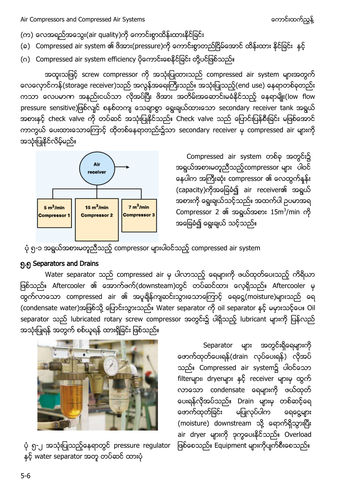- (က) လေအရည်အသွေး(air quality)ကို ကောင်းစွာထိန်းထားနိုင်ခြင်း
- (ခ) Compressed air system ၏ ဖိအား(pressure)ကို ကောင်းစွာတည်ငြိမ်အောင် ထိန်းထား နိုင်ခြင်း နင့်
- (ဂ) Compressed air system efficiency ပိုကောင်းစေနိုင်ခြင်း တို့ပင်ဖြစ်သည်။

အထူးသဖြင့် screw compressor ကို အသုံးပြုထားသည် compressed air system များအတွက် လေလှောင်ကန်(storage receiver)သည် အလွန်အရေးကြီးသည်။ အသုံးပြုသည့်(end use) နေရာတစ်ခုတည်း ကသာ လေပမာဏ အနည်းငယ်သာ လိုအပ်ပြီး ဖိအား အတိမ်းအဆောင်းမခံနိုင်သည့် နေရာမျိုး(low flow pressure sensitive)ဖြစ်လျင် စနစ်တကျ သေချာစွာ ရွေးချယ်ထားသော secondary receiver tank အရွယ် အစားနှင့် check valve ကို တပ်ဆင် အသုံးပြုနိုင်သည်။ Check valve သည် ပြောင်းပြန်စီးခြင်း မဖြစ်အောင် ကာကွယ် ပေးထားသောကြောင့် ထိုတစ်နေရာတည်း၌သာ secondary receiver မှ compressed air များကို အသုံးပြုနိုင်လိမ့်မည်။



Compressed air system တစ်ခု အတွင်း၌ အရွယ်အစားမတူညီသည့်compressor များ ပါဝင် နေပါက အကြီးဆုံး compressor ၏ လေထွက်နန်း (capacity)ကိုအခြေခံ၍ air receiver၏ အရွယ် အစားကို ရွေးချယ်သင့်သည်။ အထက်ပါ ဥပမာအရ Compressor 2 ၏ အရွယ်အစား 15m<sup>3</sup>/min အခြေခံ၍ ရွေးချယ် သင့်သည်။

ပုံ ၅-၁ အရွယ်အစားမတူညီသည့် compressor များပါဝင်သည့် compressed air system

# ၅.၅ Separators and Drains

Water separator သည် compressed air မှ ပါလာသည့် ရေများကို ဖယ်ထုတ်ပေးသည့် ကိရိယာ ဖြစ်သည်။ Aftercooler ၏ အောက်ဖက်(downsteam)တွင် တပ်ဆင်ထား လေ့ရှိသည်။ Aftercooler မှ ထွက်လာသော compressed air ၏ အပူချိန်ကျဆင်းသွားသောကြောင့် ရေငွေ့(moisture)များသည် ရေ (condensate water)အဖြစ်သို့ ပြောင်းသွားသည်။ Water separator ကို oil separator နှင့် မမှားသင့်ပေ။ Oil separator သည် lubricated rotary screw compressor အတွင်း၌ ပါရှိသည့် lubricant များကို ပြန်လည် အသုံးပြုရန် အတွက် စစ်ယူရန် ထားရှိခြင်း ဖြစ်သည်။

> Separator များ အတွင်းရှိရေများကို ဖောက်ထုတ်ပေးရန်(drain လုပ်ပေးရန်) လိုအပ် သည်။ Compressed air system၌ ပါဝင်သော filterများ၊ dryerများ နှင့် receiver များမှ ထွက် လာသော condensate ရေများကို ဖယ်ထုတ် ပေးရန်လိုအပ်သည်။ Drain များမှ တစ်ဆင့်ရေ ဖောက်ထုတ်ခြင်း မပြုလုပ်ပါက ရေငွေ့များ (moisture) downstream သို့ ရောက်ရှိသွားပြီး air dryer များကို ဒုက္ခပေးနိုင်သည်။ Overload



ပုံ ၅-၂ အသုံးပြုသည့်နေရာတွင် pressure regulator ဖြစ်စေသည်။ Equipment များကိုပျက်စီးစေသည်။ နှင့် water separator အတူ တပ်ဆင် ထားပုံ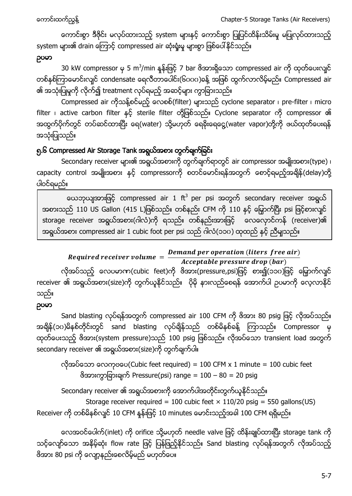ကောင်းစွာ ဒီဇိုင်း မလုပ်ထားသည့် system များနှင့် ကောင်းစွာ ပြုပြင်ထိန်းသိမ်းမှု မပြုလုပ်ထားသည့် system များ၏ drain ကြောင့် compressed air ဆုံးရုံးမှု များစွာ ဖြစ်ပေါ်နိုင်သည်။

# ညပမာ

30 kW compressor မှ 5 m<sup>3</sup>/min နှန်းဖြင့် 7 bar ဇိအားရှိသော compressed air တစ်နှစ်ကြာမောင်းလျှင် condensate ရေလီတာပေါင်း(၆၀၀၀)ခန့် အဖြစ် ထွက်လာလိမ့်မည်။ Compressed air ၏ အသုံးပြုမှုကို လိုက်၍ treatment လုပ်ရမည့် အဆင့်များ ကွာခြားသည်။

Compressed air ကိုသန့်စင်မည့် လေစစ်(filter) များသည် cyclone separator ၊ pre-filter ၊ micro filter i active carbon filter နှင့် sterile filter တို့ဖြစ်သည်။ Cyclone separator ကို compressor ၏ အထွက်ပိုက်တွင် တပ်ဆင်ထားပြီး ရေ(water) သို့မဟုတ် ရေနိုးရေငွေ့(water vapor)တို့ကို ဖယ်ထုတ်ပေးရန် အသုံးပြုသည်။

# ၅.၆ Compressed Air Storage Tank

Secondary receiver များ၏ အရွယ်အစားကို တွက်ချက်ရာတွင် air compressor အမျိုးအစား(type) ၊ capacity control အမျိုးအစား နင့် compressorကို စတင်မောင်းရန်အတွက် စောင့်ရမည့်အချိန်(delay)တို့ ပါဝင်ရမည်။

ယေဘုယျအားဖြင့် compressed air 1  $ft^3$  per psi အတွက် secondary receiver အရွယ် အစားသည် 110 US Gallon (415 L)ဖြစ်သည်။ တစ်နည်း CFM ကို 110 နင့် မြှောက်ပြီး psi ဖြင့်စားလျင် storage receiver အရွယ်အစား(ဂါလံ)ကို ရသည်။ တစ်နည်းအားဖြင့် လေလှောင်ကန် (receiver)၏ အရွယ်အစား compressed air 1 cubic foot per psi သည် ဂါလံ(၁၁၀) ထုထည် နှင့် ညီမျသည်။

# Required receiver volume  $=$   $\frac{D}{T}$

*Acceptable pressure drop (bar)* လိုအပ်သည့် လေပမာက(cubic feet)ကို ဖိအား(pressure,psi)ဖြင့် စား၍(၁၁၀)ဖြင့် မြှောက်လျင် ု<br>receiver ၏ အရွယ်အစား(size)ကို တွက်ယူနိုင်သည်။ ပိုမို နားလည်စေရန် အောက်ပါ ဥပမာကို လေ့လာနိုင် သည်။

# ညပမာ

Sand blasting လုပ်ရန်အတွက် compressed air 100 CFM ကို ဖိအား 80 psig ဖြင့် လိုအပ်သည်။ အရိန်(၁၀)မိနစ်တိုင်းတွင် sand blasting လုပ်ရိန်သည် တစ်မိနစ်ခန့် ကြာသည်။ Compressor မှ ထုတ်ပေးသည့် ဇိအား(system pressure)သည် 100 psig ဖြစ်သည်။ လိုအပ်သော transient load အတွက်  $\overline{s}$ econdary receiver ၏ အရွယ်အစား(size)ကို တွက်ချက်ပါ။

လိုအပ်သော လေကုဗပေ(Cubic feet required) = 100 CFM x 1 minute = 100 cubic feet  $\delta$ အားကွာခြားချက် Pressure(psi) range = 100 – 80 = 20 psig

Secondary receiver ၏ အရွယ်အစားကို အောက်ပါအတိုင်းတွက်ယူနိုင်သည်။

Storage receiver required = 100 cubic feet  $\times$  110/20 psig = 550 gallons(US)

Receiver ကို တစ်မိနစ်လျင် 10 CFM နန်းဖြင့် 10 minutes မောင်းသည့်အခါ 100 CFM ရရှိမည်။

လေအဝင်ပေါက်(inlet) ကို orifice သို့မဟုတ် needle valve ဖြင့် ထိန်းချုပ်ထားပြီး storage tank ကို သင့်လျော်သော အနိမ့်ဆုံး flow rate ဖြင့် ပြန်ဖြည့်နိုင်သည်။ Sand blasting လုပ်ရန်အတွက် လိုအပ်သည့် ဗိအား 80 psi ကို လျော့နည်းစေလိမ့်မည် မဟုတ်ပေ။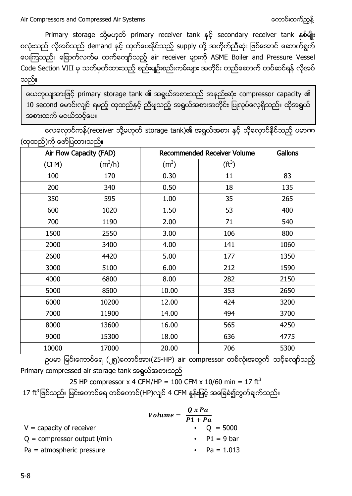Air Compressors and Compressed Air Systems ကား အောက်အား အသား အောင်းထက်ညွန့်

Primary storage သို့မဟုတ် primary receiver tank နှင့် secondary receiver tank နှစ်မျိုး စလုံးသည် လိုအပ်သည် demand နှင့် ထုတ်ပေးနိုင်သည့် supply တို့ အကိုက်ညီဆုံး ဖြစ်အောင် ဆောက်ရွက် မေးကြသည်။ ခြောက်လက်မ ထက်ကျော်သည့် air receiver များကို ASME Boiler and Pressure Vessel Code Section VIII မှ သတ်မှတ်ထားသည့် စည်းမျဉ်းစည်းကမ်းများ အတိုင်း တည်ဆောက် တပ်ဆင်ရန် လိုအပ် သည်။

ယေဘုယျအားဖြင့် primary storage tank ၏ အရွယ်အစားသည် အနည်းဆုံး compressor capacity ၏ e o အစားထက် မငယ်သင့်ပေ။

-<br>(လလှောင်ကန်(receiver သို့မဟုတ် storage tank)၏ အရွယ်အစား နှင့် သိုလှောင်နိုင်သည့် ပမာဏ (ထုထည်)ကို ဖော်ပြထားသည်။

| Air Flow Capacity (FAD) |           | <b>Recommended Receiver Volume</b> |          | Gallons |
|-------------------------|-----------|------------------------------------|----------|---------|
| (CFM)                   | $(m^3/h)$ | (m <sup>3</sup> )                  | $(ft^3)$ |         |
| 100                     | 170       | 0.30                               | 11       | 83      |
| 200                     | 340       | 0.50                               | 18       | 135     |
| 350                     | 595       | 1.00                               | 35       | 265     |
| 600                     | 1020      | 1.50                               | 53       | 400     |
| 700                     | 1190      | 2.00                               | 71       | 540     |
| 1500                    | 2550      | 3.00                               | 106      | 800     |
| 2000                    | 3400      | 4.00                               | 141      | 1060    |
| 2600                    | 4420      | 5.00                               | 177      | 1350    |
| 3000                    | 5100      | 6.00                               | 212      | 1590    |
| 4000                    | 6800      | 8.00                               | 282      | 2150    |
| 5000                    | 8500      | 10.00                              | 353      | 2650    |
| 6000                    | 10200     | 12.00                              | 424      | 3200    |
| 7000                    | 11900     | 14.00                              | 494      | 3700    |
| 8000                    | 13600     | 16.00                              | 565      | 4250    |
| 9000                    | 15300     | 18.00                              | 636      | 4775    |
| 10000                   | 17000     | 20.00                              | 706      | 5300    |

ဉပမာ မြင်းကောင်ရေ (၂၅)ကောင်အား(25-HP) air compressor တစ်လုံးအတွက် သင့်လျော်သည့် Primary compressed air storage tank

25 HP compressor x 4 CFM/HP = 100 CFM x 10/60 min = 17 ft<sup>3</sup> 17 ft<sup>3</sup>ဖြစ်သည်။ မြင်းကောင်ရေ တစ်ကောင်(HP)လျင် 4 CFM နန်းဖြင့် အခြေခံ၍တွက်ချက်သည်။

|                                 | Q x Pa<br>Volume = $\frac{1}{P1+Pa}$ |  |                |
|---------------------------------|--------------------------------------|--|----------------|
|                                 |                                      |  |                |
| $V =$ capacity of receiver      |                                      |  | • $Q = 5000$   |
| $Q =$ compressor output $I/min$ |                                      |  | • $P1 = 9$ bar |
| $Pa =$ atmospheric pressure     |                                      |  | • Pa = 1.013   |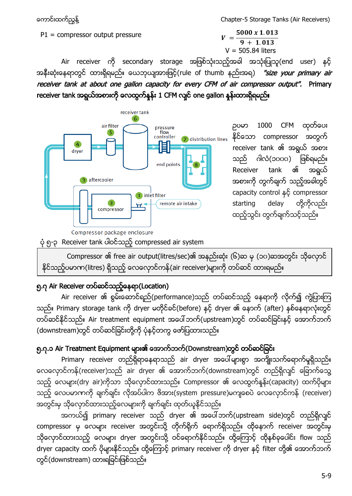႔ Chapter-5 Storage Tanks (Air Receivers)

P1 = compressor output pressure

$$
V = \frac{5000 \times 1.013}{9 + 1.013}
$$
  
V = 505.84 liters

Air receiver ကို secondary storage အဖြစ်သုံးသည့်အခါ အသုံးပြုသူ(end user) နှင့် အနီးဆုံးနေရာတွင် ထားရှိရမည်။ ယေဘုယျအားဖြင့်(rule of thumb နည်းအရ) *"size your primary air* receiver tank at about one gallon capacity for every CFM of air compressor output". Primary receiver tank အရွယ်အစားကို လေထွက်နန်း 1 CFM လျင် one gallon နန်းထားရှိရမည်။



# ပုံ ၅-၃ Receiver tank ပါဝင်သည့် compressed air system

Compressor ၏ free air output(litres/sec)၏ အနည်းဆုံး (၆)ဆ မှ (၁၀)ဆအတွင်း သိုလှောင် နိုင်သည့်ပမာက(litres) ရှိသည့် လေလှောင်ကန်(air receiver)များကို တပ်ဆင် ထားရမည်။

# ၅.၇ Air Receiver တပ်ဆင်သည့်နေရာ $(Location)$

Air receiver ၏ စွမ်းဆောင်ရည်(performance)သည် တပ်ဆင်သည့် နေရာကို လိုက်၍ ကွဲပြားကြ သည်။ Primary storage tank ကို dryer မတိုင်ခင်(before) နှင့် dryer ၏ နောက် (after) နစ်နေရာလုံးတွင် တပ်ဆင်နိုင်သည်။ Air treatment equipment အပေါ်ဘက်(upstream)တွင် တပ်ဆင်ခြင်းနှင့် အောက်ဘက် (downstream)တွင် တပ်ဆင်ခြင်းတို့ကို ပုံနှင့်တကွ ဖော်ပြထားသည်။

# ၅.၇.၁ Air Treatment Equipment များ၏ အောက်ဘက်(Downstream)တွင် တပ်ဆင်ခြင်း

Primary receiver တည်ရှိရာနေရာသည် air dryer အပေါ်များစွာ အကျိုးသက်ရောက်မှုရှိသည်။ လေလှောင်ကန်(receiver)သည် air dryer ၏ အောက်ဘက်(downstream)တွင် တည်ရှိလျင် ခြောက်သွေ့ သည့် လေများ(dry air)ကိုသာ သိုလှောင်ထားသည်။ Compressor ၏ လေထွက်နန်း(capacity) ထက်ပိုများ သည့် လေပမာကကို ချက်ချင်း လိုအပ်ပါက ဖိအား(system pressure)မကျစေပဲ လေလှောင်ကန် (receiver) အတွင်းမှ သိုလှောင်ထားသည့်လေများကို ချက်ချင်း ထုတ်ယူနိုင်သည်။

အကယ်၍ primary receiver သည် dryer ၏ အပေါ်ဘက်(upstream side)တွင် တည်ရှိလျင် compressor မှ လေများ receiver အတွင်းသို့ တိုက်ရိုက် ရောက်ရှိသည်။ ထိုနောက် receiver အတွင်းမှ သိုလှောင်ထားသည့် လေများ dryer အတွင်းသို့ ဝင်ရောက်နိုင်သည်။ ထို့ကြောင့် ထိုနှစ်ခုပေါင်း flow သည် dryer capacity ထက် ပိုများနိုင်သည်။ ထို့ကြောင့် primary receiver ကို dryer နှင့် filter တို့၏ အောက်ဘက် တွင်(downstream) ထားရခြင်းဖြစ်သည်။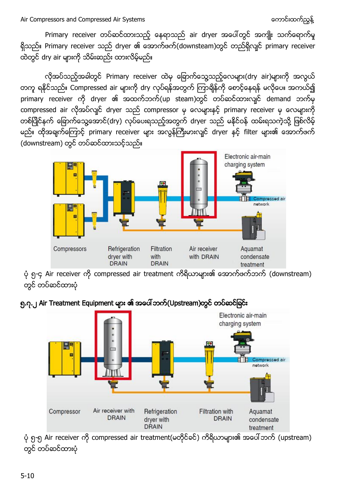Primary receiver တပ်ဆင်ထားသည့် နေရာသည် air dryer အပေါ်တွင် အကျိုး သက်ရောက်မှု ရှိသည်။ Primary receiver သည် dryer ၏ အောက်ဖက်(downsteam)တွင် တည်ရှိလျင် primary receiver ထဲတွင် dry air များကို သိမ်းဆည်း ထားလိမ့်မည်။

လိုအပ်သည့်အခါတွင် Primary receiver ထဲမှ ခြောက်သွေ့သည့်လေများ(dry air)များကို အလွယ် တကူ ရနိုင်သည်။ Compressed air များကို dry လုပ်ရန်အတွက် ကြာချိန်ကို စောင့်နေရန် မလိုပေ။ အကယ်၍ primary receiver ကို dryer ၏ အထက်ဘက်(up steam)တွင် တပ်ဆင်ထားလျင် demand ဘက်မှ compressed air လိုအပ်လျင် dryer သည် compressor မှ လေများနှင့် primary receiver မှ လေများကို တစ်ပြိုင်နက် ခြောက်သွေ့အောင်(dry) လုပ်ပေးရသည့်အတွက် dryer သည် မနိုင်ဝန် ထမ်းရသကဲ့သို့ ဖြစ်လိမ့် မည်။ ထိုအချက်ကြောင့် primary receiver များ အလွန်ကြီးမားလျင် dryer နှင့် filter များ၏ အောက်ဖက် (downstream) တွင် တပ်ဆင်ထားသင့်သည်။



ပုံ ၅-၄ Air receiver ကို compressed air treatment ကိရိယာများ၏ အောက်ဖက်ဘက် (downstream) တွင် တပ်ဆင်ထားပုံ

၅.၇.၂ Air Treatment Equipment များ ၏ အပေါ် ဘက်(Upstream)တွင် တပ်ဆင်ခြင်း



ပုံ ၅-၅ Air receiver ကို compressed air treatment(မတိုင်ခင်) ကိရိယာများ၏ အပေါ် ဘက် (upstream) တွင် တပ်ဆင်ထားပုံ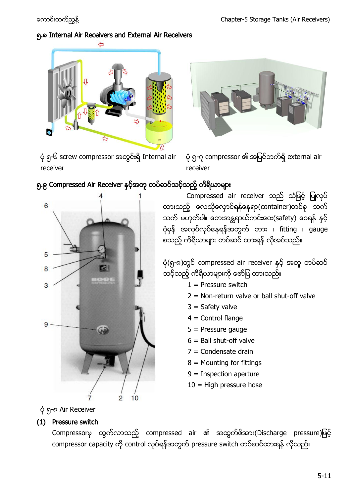# ၅.၈ Internal Air Receivers and External Air Receivers







ပုံ ၅-၇ compressor ၏ အပြင်ဘက်ရှိ external air receiver

# ၅.၉ Compressed Air Receiver နှင့်အတူ တပ်ဆင်သင့်သည့် ကိရိယာများ



Compressed air receiver သည် သံဖြင့် ပြုလုပ် ထားသည့် လေသိုလှောင်ရန်နေရာ(container)တစ်ခု သက် သက် မဟုတ်ပါ။ ဘေးအန္တရာယ်ကင်းဝေး(safety) စေရန် နှင့် ပုံမှန် အလုပ်လုပ်နေရန်အတွက် ဘား ၊ fitting ၊ gauge စသည့် ကိရိယာများ တပ်ဆင် ထားရန် လိုအပ်သည်။

ပုံ(၅-၈)တွင် compressed air receiver နှင့် အတူ တပ်ဆင် သင့်သည့် ကိရိယာများကို ဖော်ပြ ထားသည်။

- $1 =$  Pressure switch
- 2 = Non-return valve or ball shut-off valve
- $3 =$  Safety valve
- 4 = Control flange
- 5 = Pressure gauge
- $6 =$  Ball shut-off valve
- 7 = Condensate drain
- $8$  = Mounting for fittings
- 9 = Inspection aperture
- $10 =$  High pressure hose

၅-၈ Air Receiver

# (1) Pressure switch

Compressorမှ ထွက်လာသည့် compressed air ၏ အထွက်ဖိအား(Discharge pressure)ဖြင့် compressor capacity ကို control လုပ်ရန်အတွက် pressure switch တပ်ဆင်ထားရန် လိုသည်။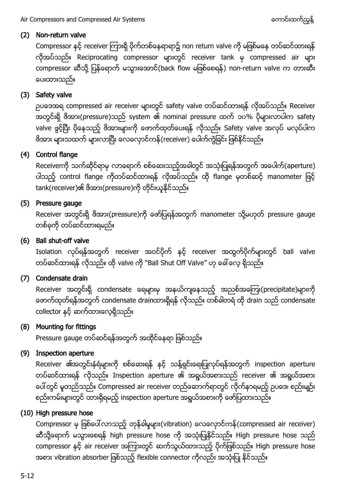# (2) Non-return valve

Compressor နှင့် receiver ကြားရှိ ပိုက်တစ်နေရာရာ၌ non return valve ကို မဖြစ်မနေ တပ်ဆင်ထားရန် လိုအပ်သည်။ Reciprocating compressor များတွင် receiver tank မှ compressed air များ compressor ဆီသို့ ပြန်ရောက် မသွားအောင်(back flow မဖြစ်စေရန်) non-return valve က တားဆီး ပေးထားသည်။

# (3) Safety valve

ဉပဒေအရ compressed air receiver များတွင် safety valve တပ်ဆင်ထားရန် လိုအပ်သည်။ Receiver အတွင်းရှိ ဖိအား(pressure)သည် system ၏ nominal pressure ထက် ၁၀% ပိုများလာပါက safety valve ဖွင့်ပြီး ပိုနေသည့် ဖိအားများကို ဖောက်ထုတ်ပေးရန် လိုသည်။ Safety valve အလုပ် မလုပ်ပါက ဗိအား များသထက် များလာပြီး လေလှောင်ကန်(receiver) ပေါက်ကွဲခြင်း ဖြစ်နိုင်သည်။

# (4) Control flange

Receiverကို သက်ဆိုင်ရာမှ လာရောက် စစ်ဆေးသည့်အခါတွင် အသုံးပြုရန်အတွက် အပေါက်(aperture) ပါသည့် control flange ကိုတပ်ဆင်ထားရန် လိုအပ်သည်။ ထို flange မှတစ်ဆင့် manometer ဖြင့် tank(receiver)၏ ဖိအား(pressure)ကို တိုင်းယူနိုင်သည်။

# (5) Pressure gauge

Receiver အတွင်းရှိ ဖိအား(pressure)ကို ဖော်ပြရန်အတွက် manometer သို့မဟုတ် pressure gauge တစ်ခုကို တပ်ဆင်ထားရမည်။

# (6) Ball shut-off valve

Isolation လုပ်ရန်အတွက် receiver အဝင်ပိုက် နင့် receiver အထွက်ပိုက်များတွင် ball valve တပ်ဆင်ထားရန် လိုသည်။ ထို valve ကို "Ball Shut Off Valve" ဟု ခေါ်လေ့ ရှိသည်။

# (7) Condensate drain

Receiver အတွင်းရှိ condensate ရေများမှ အနယ်ကျနေသည့် အညစ်အကြေး(precipitate)များကို ဖောက်ထုတ်ရန်အတွက် condensate drainထားရှိရန် လိုသည်။ တစ်ခါတရံ ထို drain သည် condensate collector နှင့် ဆက်ထားလေ့ရှိသည်။

# (8) Mounting for fittings

Pressure gauge တပ်ဆင်ရန်အတွက် အထိုင်နေရာ ဖြစ်သည်။

# (9) Inspection aperture

Receiver ၏အတွင်းနံရံများကို စစ်ဆေးရန် နှင့် သန့်ရှင်းရေးပြုလုပ်ရန်အတွက် inspection aperture တပ်ဆင်ထားရန် လိုသည်။ Inspection aperture ၏ အရွယ်အစားသည် receiver ၏ အရွယ်အစား ပေါ်တွင် မူတည်သည်။ Compressed air receiver တည်ဆောက်ရာတွင် လိုက်နာရမည့် ဥပဒေ၊ စည်းမျဉ်း စည်းကမ်းများတွင် ထားရှိရမည့် inspection aperture အရွယ်အစားကို ဖော်ပြထားသည်။

# (10) High pressure hose

Compressor မှ ဖြစ်ပေါ်လာသည့် တုန်ခါမှုများ(vibration) လေလှောင်ကန်(compressed air receiver) ဆီသို့ရောက် မသွားစေရန် high pressure hose ကို အသုံးပြုနိုင်သည်။ High pressure hose သည် compressor နှင့် air receiver အကြားတွင် ဆက်သွယ်ထားသည့် ပိုက်ဖြစ်သည်။ High pressure hose အစား vibration absorber ဖြစ်သည့် flexible connector ကိုလည်း အသုံးပြု နိုင်သည်။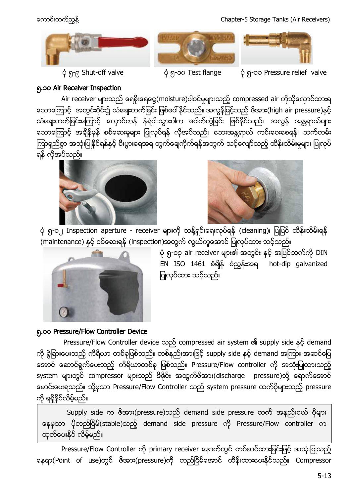



ပုံ ၅-၉ Shut-off valve ကားပြီး ၅-၁၀ Test flange ကို ၅-၁၁ Pressure relief valve

# ၅.၁၀ Air Receiver Inspection

Air receiver များသည် ရေနိးရေငွေ့(moisture)ပါဝင်မှုများသည့် compressed air ကိုသိုလှောင်ထားရ သောကြောင့် အတွင်းပိုင်း၌ သံချေးတက်ခြင်း ဖြစ်ပေါ်နိုင်သည်။ အလွန်မြင့်သည့် ဇိအား(high air pressure)နှင့် သံချေးတက်ခြင်းကြောင့် လှောင်ကန် နံရံပါးသွားပါက ပေါက်ကွဲခြင်း ဖြစ်နိုင်သည်။ အလွန် အန္တရာယ်များ သောကြောင့် အချိန်မှန် စစ်ဆေးမှုများ ပြုလုပ်ရန် လိုအပ်သည်။ ဘေးအန္တရာယ် ကင်းဝေးစေရန်၊ သက်တမ်း<br>ကြာရှည်စွာ အသုံးပြုနိုင်ရန်နှင့် စီးပွားရေအရ တွက်ချေကိုက်ရန်အတွက် သင့်လျော်သည့် ထိန်းသိမ်းမှုများ ပြုလုပ် ရန် လိုအပ်သည်။





ပုံ ၅-၁၂ Inspection aperture - receiver များကို သန့်ရှင်းရေးလုပ်ရန် (cleaning)၊ ပြုပြင် ထိန်းသိမ်းရန် (maintenance) နှင့် စစ်ဆေးရန် (inspection)အတွက် လွယ်ကူအောင် ပြုလုပ်ထား သင့်သည်။



ပုံ ၅-၁၃ air receiver များ၏ အတွင်း နှင့် အပြင်ဘက်ကို DIN EN ISO 1461 စံချိန် စံညွှန်းအရ hot-dip galvanized ပြုလုပ်ထား သင့်သည်။

# ၅.၁၁ Pressure/Flow Controller Device

Pressure/Flow Controller device သည် compressed air system ၏ supply side နှင့် demand ကို ခွဲခြားပေးသည့် ကိရိယာ တစ်ခုဖြစ်သည်။ တစ်နည်းအားဖြင့် supply side နှင့် demand အကြား အဆင်ပြေ အောင် ဆောင်ရွက်ပေးသည့် ကိရိယာတစ်ခု ဖြစ်သည်။ Pressure/Flow controller ကို အသုံးပြုထားသည့် system များတွင် compressor များသည် ဒီဇိုင်း အထွက်ဖိအား(discharge pressure)သို့ ရောက်အောင် မောင်းပေးရသည်။ သို့မှသာ Pressure/Flow Controller သည် system pressure ထက်ပိုများသည့် pressure ကို ရရှိနိုင်လိမ့်မည်။

Supply side က ဗိအား(pressure)သည် demand side pressure ထက် အနည်းငယ် ပိုများ နေမှသာ ပိုတည်ငြိမ်(stable)သည့် demand side pressure ကို Pressure/Flow controller က ထုတ်ပေးနိုင် လိမ့်မည်။

Pressure/Flow Controller ကို primary receiver နောက်တွင် တပ်ဆင်ထားခြင်းဖြင့် အသုံးပြုသည့် နေရာ(Point of use)တွင် ဖိအား(pressure)ကို တည်ငြိမ်အောင် ထိန်းထားပေးနိုင်သည်။ Compressor